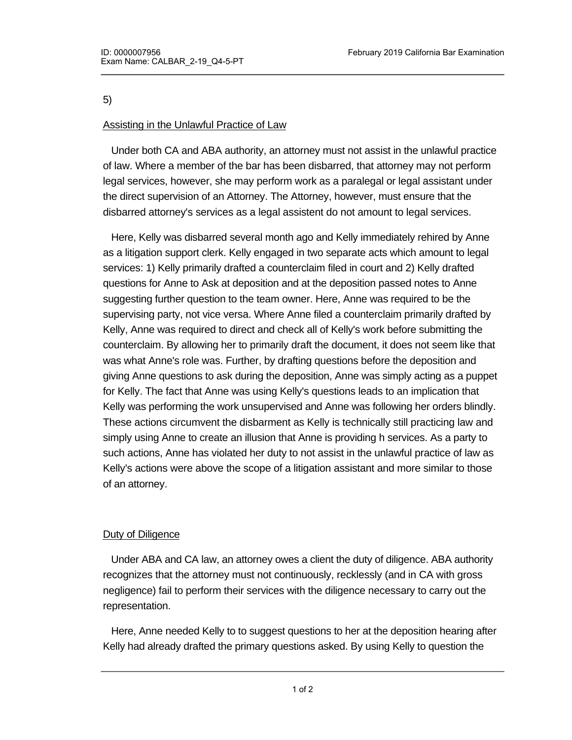5)

# Assisting in the Unlawful Practice of Law

 Under both CA and ABA authority, an attorney must not assist in the unlawful practice of law. Where a member of the bar has been disbarred, that attorney may not perform legal services, however, she may perform work as a paralegal or legal assistant under the direct supervision of an Attorney. The Attorney, however, must ensure that the disbarred attorney's services as a legal assistent do not amount to legal services.

 Here, Kelly was disbarred several month ago and Kelly immediately rehired by Anne as a litigation support clerk. Kelly engaged in two separate acts which amount to legal services: 1) Kelly primarily drafted a counterclaim filed in court and 2) Kelly drafted questions for Anne to Ask at deposition and at the deposition passed notes to Anne suggesting further question to the team owner. Here, Anne was required to be the supervising party, not vice versa. Where Anne filed a counterclaim primarily drafted by Kelly, Anne was required to direct and check all of Kelly's work before submitting the counterclaim. By allowing her to primarily draft the document, it does not seem like that was what Anne's role was. Further, by drafting questions before the deposition and giving Anne questions to ask during the deposition, Anne was simply acting as a puppet for Kelly. The fact that Anne was using Kelly's questions leads to an implication that Kelly was performing the work unsupervised and Anne was following her orders blindly. These actions circumvent the disbarment as Kelly is technically still practicing law and simply using Anne to create an illusion that Anne is providing h services. As a party to such actions, Anne has violated her duty to not assist in the unlawful practice of law as Kelly's actions were above the scope of a litigation assistant and more similar to those of an attorney.

## Duty of Diligence

 Under ABA and CA law, an attorney owes a client the duty of diligence. ABA authority recognizes that the attorney must not continuously, recklessly (and in CA with gross negligence) fail to perform their services with the diligence necessary to carry out the representation.

 Here, Anne needed Kelly to to suggest questions to her at the deposition hearing after Kelly had already drafted the primary questions asked. By using Kelly to question the